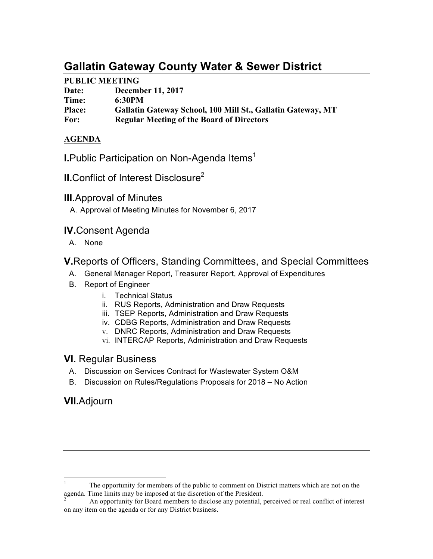# **Gallatin Gateway County Water & Sewer District**

## **PUBLIC MEETING**

| Date:         | <b>December 11, 2017</b>                                    |
|---------------|-------------------------------------------------------------|
| Time:         | 6:30PM                                                      |
| <b>Place:</b> | Gallatin Gateway School, 100 Mill St., Gallatin Gateway, MT |
| For:          | <b>Regular Meeting of the Board of Directors</b>            |

## **AGENDA**

**I.**Public Participation on Non-Agenda Items<sup>1</sup>

**II.**Conflict of Interest Disclosure<sup>2</sup>

# **III.**Approval of Minutes

A. Approval of Meeting Minutes for November 6, 2017

# **IV.**Consent Agenda

A. None

# **V.**Reports of Officers, Standing Committees, and Special Committees

- A. General Manager Report, Treasurer Report, Approval of Expenditures
- B. Report of Engineer
	- i. Technical Status
	- ii. RUS Reports, Administration and Draw Requests
	- iii. TSEP Reports, Administration and Draw Requests
	- iv. CDBG Reports, Administration and Draw Requests
	- v. DNRC Reports, Administration and Draw Requests
	- vi. INTERCAP Reports, Administration and Draw Requests

## **VI.** Regular Business

- A. Discussion on Services Contract for Wastewater System O&M
- B. Discussion on Rules/Regulations Proposals for 2018 No Action

# **VII.**Adjourn

 <sup>1</sup> The opportunity for members of the public to comment on District matters which are not on the agenda. Time limits may be imposed at the discretion of the President.<br><sup>2</sup> An opportunity for Board members to disclose any potential, perceived or real conflict of interest

on any item on the agenda or for any District business.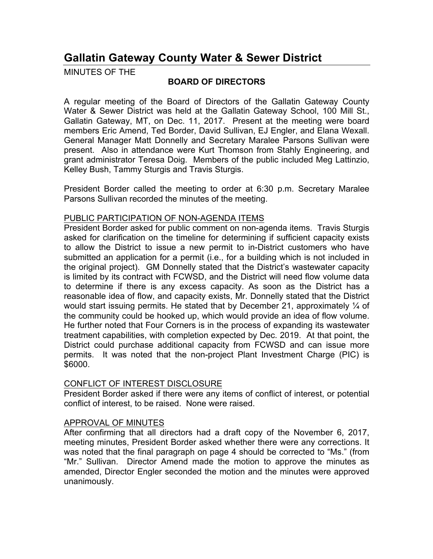# **Gallatin Gateway County Water & Sewer District**

MINUTES OF THE

### **BOARD OF DIRECTORS**

A regular meeting of the Board of Directors of the Gallatin Gateway County Water & Sewer District was held at the Gallatin Gateway School, 100 Mill St., Gallatin Gateway, MT, on Dec. 11, 2017. Present at the meeting were board members Eric Amend, Ted Border, David Sullivan, EJ Engler, and Elana Wexall. General Manager Matt Donnelly and Secretary Maralee Parsons Sullivan were present. Also in attendance were Kurt Thomson from Stahly Engineering, and grant administrator Teresa Doig. Members of the public included Meg Lattinzio, Kelley Bush, Tammy Sturgis and Travis Sturgis.

President Border called the meeting to order at 6:30 p.m. Secretary Maralee Parsons Sullivan recorded the minutes of the meeting.

#### PUBLIC PARTICIPATION OF NON-AGENDA ITEMS

President Border asked for public comment on non-agenda items. Travis Sturgis asked for clarification on the timeline for determining if sufficient capacity exists to allow the District to issue a new permit to in-District customers who have submitted an application for a permit (i.e., for a building which is not included in the original project). GM Donnelly stated that the District's wastewater capacity is limited by its contract with FCWSD, and the District will need flow volume data to determine if there is any excess capacity. As soon as the District has a reasonable idea of flow, and capacity exists, Mr. Donnelly stated that the District would start issuing permits. He stated that by December 21, approximately  $\frac{1}{4}$  of the community could be hooked up, which would provide an idea of flow volume. He further noted that Four Corners is in the process of expanding its wastewater treatment capabilities, with completion expected by Dec. 2019. At that point, the District could purchase additional capacity from FCWSD and can issue more permits. It was noted that the non-project Plant Investment Charge (PIC) is \$6000.

#### CONFLICT OF INTEREST DISCLOSURE

President Border asked if there were any items of conflict of interest, or potential conflict of interest, to be raised. None were raised.

## APPROVAL OF MINUTES

After confirming that all directors had a draft copy of the November 6, 2017, meeting minutes, President Border asked whether there were any corrections. It was noted that the final paragraph on page 4 should be corrected to "Ms." (from "Mr." Sullivan. Director Amend made the motion to approve the minutes as amended, Director Engler seconded the motion and the minutes were approved unanimously.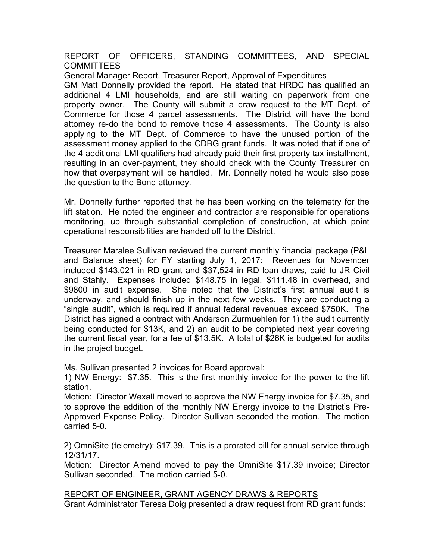### REPORT OF OFFICERS, STANDING COMMITTEES, AND SPECIAL **COMMITTEES**

General Manager Report, Treasurer Report, Approval of Expenditures

GM Matt Donnelly provided the report. He stated that HRDC has qualified an additional 4 LMI households, and are still waiting on paperwork from one property owner. The County will submit a draw request to the MT Dept. of Commerce for those 4 parcel assessments. The District will have the bond attorney re-do the bond to remove those 4 assessments. The County is also applying to the MT Dept. of Commerce to have the unused portion of the assessment money applied to the CDBG grant funds. It was noted that if one of the 4 additional LMI qualifiers had already paid their first property tax installment, resulting in an over-payment, they should check with the County Treasurer on how that overpayment will be handled. Mr. Donnelly noted he would also pose the question to the Bond attorney.

Mr. Donnelly further reported that he has been working on the telemetry for the lift station. He noted the engineer and contractor are responsible for operations monitoring, up through substantial completion of construction, at which point operational responsibilities are handed off to the District.

Treasurer Maralee Sullivan reviewed the current monthly financial package (P&L and Balance sheet) for FY starting July 1, 2017: Revenues for November included \$143,021 in RD grant and \$37,524 in RD loan draws, paid to JR Civil and Stahly. Expenses included \$148.75 in legal, \$111.48 in overhead, and \$9800 in audit expense. She noted that the District's first annual audit is underway, and should finish up in the next few weeks. They are conducting a "single audit", which is required if annual federal revenues exceed \$750K. The District has signed a contract with Anderson Zurmuehlen for 1) the audit currently being conducted for \$13K, and 2) an audit to be completed next year covering the current fiscal year, for a fee of \$13.5K. A total of \$26K is budgeted for audits in the project budget.

Ms. Sullivan presented 2 invoices for Board approval:

1) NW Energy: \$7.35. This is the first monthly invoice for the power to the lift station.

Motion: Director Wexall moved to approve the NW Energy invoice for \$7.35, and to approve the addition of the monthly NW Energy invoice to the District's Pre-Approved Expense Policy. Director Sullivan seconded the motion. The motion carried 5-0.

2) OmniSite (telemetry): \$17.39. This is a prorated bill for annual service through 12/31/17.

Motion: Director Amend moved to pay the OmniSite \$17.39 invoice; Director Sullivan seconded. The motion carried 5-0.

REPORT OF ENGINEER, GRANT AGENCY DRAWS & REPORTS

Grant Administrator Teresa Doig presented a draw request from RD grant funds: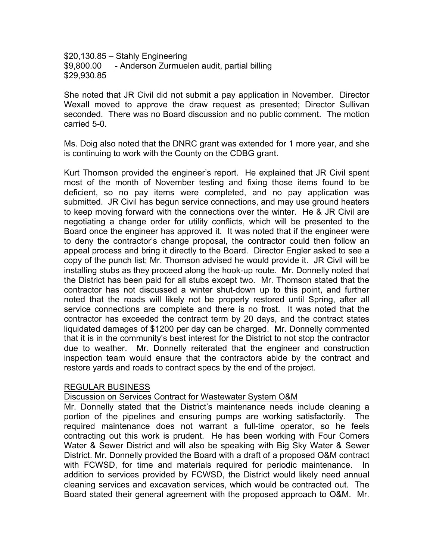\$20,130.85 – Stahly Engineering \$9,800.00 - Anderson Zurmuelen audit, partial billing \$29,930.85

She noted that JR Civil did not submit a pay application in November. Director Wexall moved to approve the draw request as presented; Director Sullivan seconded. There was no Board discussion and no public comment. The motion carried 5-0.

Ms. Doig also noted that the DNRC grant was extended for 1 more year, and she is continuing to work with the County on the CDBG grant.

Kurt Thomson provided the engineer's report. He explained that JR Civil spent most of the month of November testing and fixing those items found to be deficient, so no pay items were completed, and no pay application was submitted. JR Civil has begun service connections, and may use ground heaters to keep moving forward with the connections over the winter. He & JR Civil are negotiating a change order for utility conflicts, which will be presented to the Board once the engineer has approved it. It was noted that if the engineer were to deny the contractor's change proposal, the contractor could then follow an appeal process and bring it directly to the Board. Director Engler asked to see a copy of the punch list; Mr. Thomson advised he would provide it. JR Civil will be installing stubs as they proceed along the hook-up route. Mr. Donnelly noted that the District has been paid for all stubs except two. Mr. Thomson stated that the contractor has not discussed a winter shut-down up to this point, and further noted that the roads will likely not be properly restored until Spring, after all service connections are complete and there is no frost. It was noted that the contractor has exceeded the contract term by 20 days, and the contract states liquidated damages of \$1200 per day can be charged. Mr. Donnelly commented that it is in the community's best interest for the District to not stop the contractor due to weather. Mr. Donnelly reiterated that the engineer and construction inspection team would ensure that the contractors abide by the contract and restore yards and roads to contract specs by the end of the project.

#### REGULAR BUSINESS

#### Discussion on Services Contract for Wastewater System O&M

Mr. Donnelly stated that the District's maintenance needs include cleaning a portion of the pipelines and ensuring pumps are working satisfactorily. The required maintenance does not warrant a full-time operator, so he feels contracting out this work is prudent. He has been working with Four Corners Water & Sewer District and will also be speaking with Big Sky Water & Sewer District. Mr. Donnelly provided the Board with a draft of a proposed O&M contract with FCWSD, for time and materials required for periodic maintenance. In addition to services provided by FCWSD, the District would likely need annual cleaning services and excavation services, which would be contracted out. The Board stated their general agreement with the proposed approach to O&M. Mr.